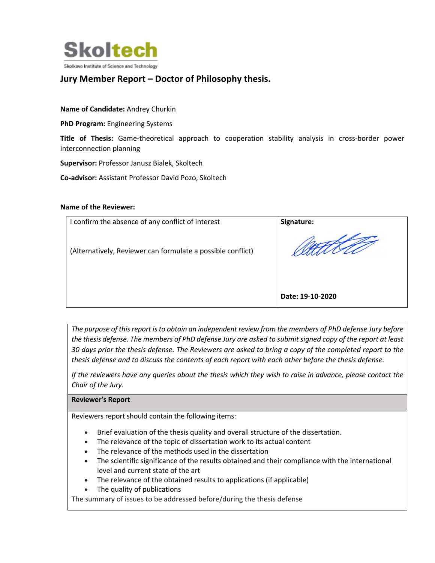

# **Jury Member Report – Doctor of Philosophy thesis.**

## **Name of Candidate:** Andrey Churkin

**PhD Program:** Engineering Systems

**Title of Thesis:** Game-theoretical approach to cooperation stability analysis in cross-border power interconnection planning

**Supervisor:** Professor Janusz Bialek, Skoltech

**Co-advisor:** Assistant Professor David Pozo, Skoltech

#### **Name of the Reviewer:**

| I confirm the absence of any conflict of interest           | Signature:       |
|-------------------------------------------------------------|------------------|
| (Alternatively, Reviewer can formulate a possible conflict) |                  |
|                                                             | Date: 19-10-2020 |

*The purpose of this report is to obtain an independent review from the members of PhD defense Jury before the thesis defense. The members of PhD defense Jury are asked to submit signed copy of the report at least 30 days prior the thesis defense. The Reviewers are asked to bring a copy of the completed report to the thesis defense and to discuss the contents of each report with each other before the thesis defense.* 

*If the reviewers have any queries about the thesis which they wish to raise in advance, please contact the Chair of the Jury.*

### **Reviewer's Report**

Reviewers report should contain the following items:

- Brief evaluation of the thesis quality and overall structure of the dissertation.
- The relevance of the topic of dissertation work to its actual content
- The relevance of the methods used in the dissertation
- The scientific significance of the results obtained and their compliance with the international level and current state of the art
- The relevance of the obtained results to applications (if applicable)
- The quality of publications

The summary of issues to be addressed before/during the thesis defense